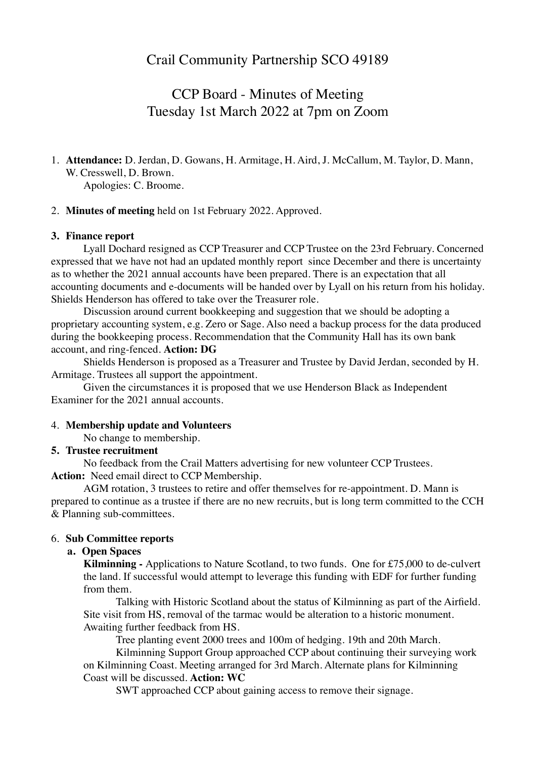CCP Board - Minutes of Meeting Tuesday 1st March 2022 at 7pm on Zoom

# 1. **Attendance:** D. Jerdan, D. Gowans, H. Armitage, H. Aird, J. McCallum, M. Taylor, D. Mann, W. Cresswell, D. Brown.

Apologies: C. Broome.

### 2. **Minutes of meeting** held on 1st February 2022. Approved.

### **3. Finance report**

Lyall Dochard resigned as CCP Treasurer and CCP Trustee on the 23rd February. Concerned expressed that we have not had an updated monthly report since December and there is uncertainty as to whether the 2021 annual accounts have been prepared. There is an expectation that all accounting documents and e-documents will be handed over by Lyall on his return from his holiday. Shields Henderson has offered to take over the Treasurer role.

Discussion around current bookkeeping and suggestion that we should be adopting a proprietary accounting system, e.g. Zero or Sage. Also need a backup process for the data produced during the bookkeeping process. Recommendation that the Community Hall has its own bank account, and ring-fenced. **Action: DG**

Shields Henderson is proposed as a Treasurer and Trustee by David Jerdan, seconded by H. Armitage. Trustees all support the appointment.

Given the circumstances it is proposed that we use Henderson Black as Independent Examiner for the 2021 annual accounts.

#### 4. **Membership update and Volunteers**

No change to membership.

#### **5. Trustee recruitment**

No feedback from the Crail Matters advertising for new volunteer CCP Trustees. **Action:** Need email direct to CCP Membership.

AGM rotation, 3 trustees to retire and offer themselves for re-appointment. D. Mann is prepared to continue as a trustee if there are no new recruits, but is long term committed to the CCH & Planning sub-committees.

#### 6. **Sub Committee reports**

#### **a. Open Spaces**

**Kilminning -** Applications to Nature Scotland, to two funds. One for £75,000 to de-culvert the land. If successful would attempt to leverage this funding with EDF for further funding from them.

Talking with Historic Scotland about the status of Kilminning as part of the Airfield. Site visit from HS, removal of the tarmac would be alteration to a historic monument. Awaiting further feedback from HS.

Tree planting event 2000 trees and 100m of hedging. 19th and 20th March.

Kilminning Support Group approached CCP about continuing their surveying work on Kilminning Coast. Meeting arranged for 3rd March. Alternate plans for Kilminning Coast will be discussed. **Action: WC** 

SWT approached CCP about gaining access to remove their signage.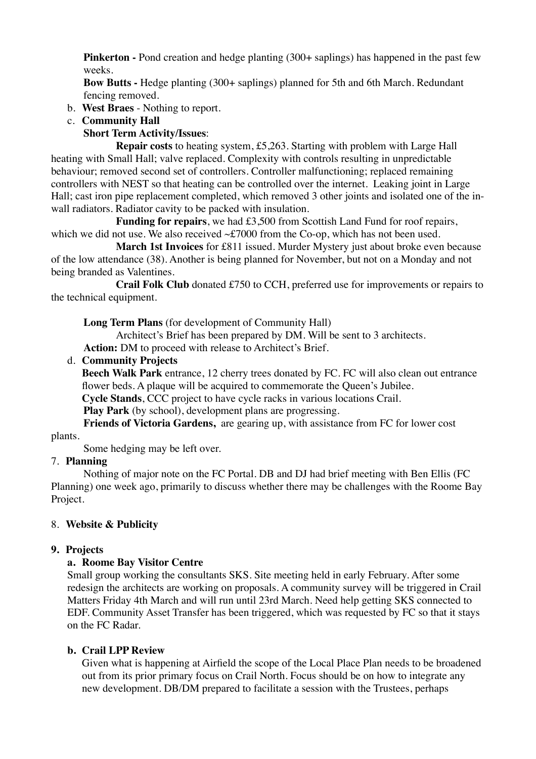**Pinkerton** - Pond creation and hedge planting (300+ saplings) has happened in the past few weeks.

**Bow Butts -** Hedge planting (300+ saplings) planned for 5th and 6th March. Redundant fencing removed.

- b. **West Braes** Nothing to report.
- c. **Community Hall**

# **Short Term Activity/Issues**:

**Repair costs** to heating system, £5,263. Starting with problem with Large Hall heating with Small Hall; valve replaced. Complexity with controls resulting in unpredictable behaviour; removed second set of controllers. Controller malfunctioning; replaced remaining controllers with NEST so that heating can be controlled over the internet. Leaking joint in Large Hall; cast iron pipe replacement completed, which removed 3 other joints and isolated one of the inwall radiators. Radiator cavity to be packed with insulation.

**Funding for repairs**, we had £3,500 from Scottish Land Fund for roof repairs, which we did not use. We also received  $\sim$  £7000 from the Co-op, which has not been used.

**March 1st Invoices** for £811 issued. Murder Mystery just about broke even because of the low attendance (38). Another is being planned for November, but not on a Monday and not being branded as Valentines.

**Crail Folk Club** donated £750 to CCH, preferred use for improvements or repairs to the technical equipment.

**Long Term Plans** (for development of Community Hall)

Architect's Brief has been prepared by DM. Will be sent to 3 architects.

**Action:** DM to proceed with release to Architect's Brief.

# d. **Community Projects**

**Beech Walk Park** entrance, 12 cherry trees donated by FC. FC will also clean out entrance flower beds. A plaque will be acquired to commemorate the Queen's Jubilee.

**Cycle Stands**, CCC project to have cycle racks in various locations Crail.

**Play Park** (by school), development plans are progressing.

**Friends of Victoria Gardens,** are gearing up, with assistance from FC for lower cost plants.

Some hedging may be left over.

# 7. **Planning**

Nothing of major note on the FC Portal. DB and DJ had brief meeting with Ben Ellis (FC Planning) one week ago, primarily to discuss whether there may be challenges with the Roome Bay Project.

# 8. **Website & Publicity**

# **9. Projects**

# **a. Roome Bay Visitor Centre**

Small group working the consultants SKS. Site meeting held in early February. After some redesign the architects are working on proposals. A community survey will be triggered in Crail Matters Friday 4th March and will run until 23rd March. Need help getting SKS connected to EDF. Community Asset Transfer has been triggered, which was requested by FC so that it stays on the FC Radar.

# **b. Crail LPP Review**

Given what is happening at Airfield the scope of the Local Place Plan needs to be broadened out from its prior primary focus on Crail North. Focus should be on how to integrate any new development. DB/DM prepared to facilitate a session with the Trustees, perhaps